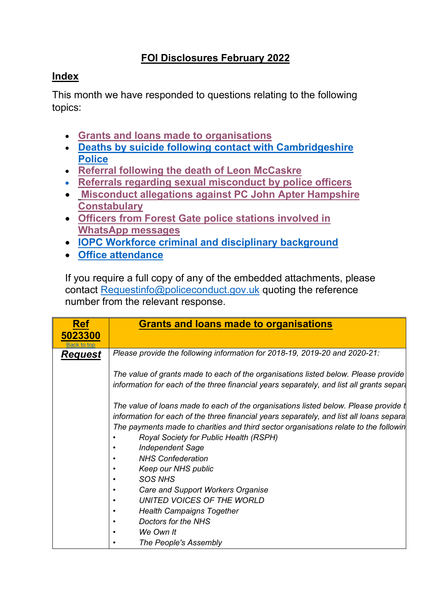## **FOI Disclosures February 2022**

## <span id="page-0-1"></span>**Index**

This month we have responded to questions relating to the following topics:

- **[Grants and loans made to organisations](#page-0-0)**
- **[Deaths by suicide following contact with Cambridgeshire](#page-1-0)  [Police](#page-1-0)**
- **[Referral following the death of Leon McCaskre](#page-2-0)**
- **[Referrals regarding sexual misconduct by police officers](#page-3-0)**
- **[Misconduct allegations against PC John](#page-4-0) Apter Hampshire [Constabulary](#page-4-0)**
- **[Officers from Forest Gate police stations involved in](#page-4-1)  [WhatsApp](#page-4-1) messages**
- **IOPC Workforce [criminal and disciplinary background](#page-5-0)**
- **[Office attendance](#page-6-0)**

If you require a full copy of any of the embedded attachments, please contact [Requestinfo@policeconduct.gov.uk](mailto:Requestinfo@policeconduct.gov.uk) quoting the reference number from the relevant response.

<span id="page-0-0"></span>

| <b>Ref</b>             | <b>Grants and loans made to organisations</b>                                                                                                                                  |  |  |
|------------------------|--------------------------------------------------------------------------------------------------------------------------------------------------------------------------------|--|--|
| 5023300<br>Back to top |                                                                                                                                                                                |  |  |
| <u>Request</u>         | Please provide the following information for 2018-19, 2019-20 and 2020-21:                                                                                                     |  |  |
|                        | The value of grants made to each of the organisations listed below. Please provide<br>information for each of the three financial years separately, and list all grants separa |  |  |
|                        | The value of loans made to each of the organisations listed below. Please provide t<br>information for each of the three financial years separately, and list all loans separa |  |  |
|                        | The payments made to charities and third sector organisations relate to the followin                                                                                           |  |  |
|                        | Royal Society for Public Health (RSPH)<br><b>Independent Sage</b>                                                                                                              |  |  |
|                        | <b>NHS Confederation</b>                                                                                                                                                       |  |  |
|                        | Keep our NHS public                                                                                                                                                            |  |  |
|                        | <b>SOS NHS</b>                                                                                                                                                                 |  |  |
|                        | Care and Support Workers Organise                                                                                                                                              |  |  |
|                        | UNITED VOICES OF THE WORLD                                                                                                                                                     |  |  |
|                        | <b>Health Campaigns Together</b>                                                                                                                                               |  |  |
|                        | Doctors for the NHS                                                                                                                                                            |  |  |
|                        | We Own It                                                                                                                                                                      |  |  |
|                        | The People's Assembly                                                                                                                                                          |  |  |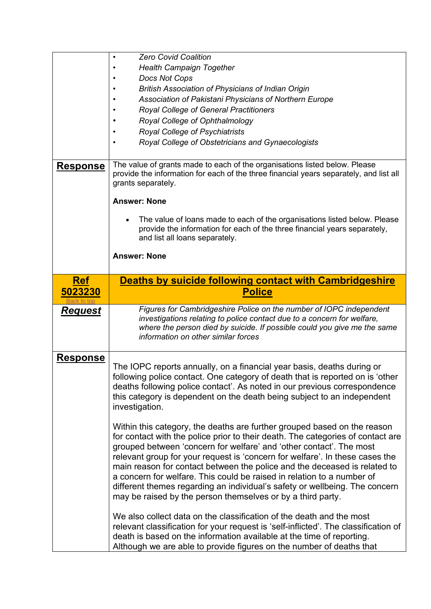<span id="page-1-0"></span>

|                 | <b>Zero Covid Coalition</b>                                                                                                                                                                                                                                                                                                                                                                                                                                                                                                                                                                                             |  |  |
|-----------------|-------------------------------------------------------------------------------------------------------------------------------------------------------------------------------------------------------------------------------------------------------------------------------------------------------------------------------------------------------------------------------------------------------------------------------------------------------------------------------------------------------------------------------------------------------------------------------------------------------------------------|--|--|
|                 | <b>Health Campaign Together</b>                                                                                                                                                                                                                                                                                                                                                                                                                                                                                                                                                                                         |  |  |
|                 | Docs Not Cops                                                                                                                                                                                                                                                                                                                                                                                                                                                                                                                                                                                                           |  |  |
|                 | <b>British Association of Physicians of Indian Origin</b>                                                                                                                                                                                                                                                                                                                                                                                                                                                                                                                                                               |  |  |
|                 | Association of Pakistani Physicians of Northern Europe                                                                                                                                                                                                                                                                                                                                                                                                                                                                                                                                                                  |  |  |
|                 | Royal College of General Practitioners                                                                                                                                                                                                                                                                                                                                                                                                                                                                                                                                                                                  |  |  |
|                 | Royal College of Ophthalmology                                                                                                                                                                                                                                                                                                                                                                                                                                                                                                                                                                                          |  |  |
|                 | Royal College of Psychiatrists                                                                                                                                                                                                                                                                                                                                                                                                                                                                                                                                                                                          |  |  |
|                 | Royal College of Obstetricians and Gynaecologists                                                                                                                                                                                                                                                                                                                                                                                                                                                                                                                                                                       |  |  |
|                 |                                                                                                                                                                                                                                                                                                                                                                                                                                                                                                                                                                                                                         |  |  |
| <b>Response</b> | The value of grants made to each of the organisations listed below. Please<br>provide the information for each of the three financial years separately, and list all<br>grants separately.<br><b>Answer: None</b>                                                                                                                                                                                                                                                                                                                                                                                                       |  |  |
|                 | The value of loans made to each of the organisations listed below. Please<br>provide the information for each of the three financial years separately,<br>and list all loans separately.                                                                                                                                                                                                                                                                                                                                                                                                                                |  |  |
|                 | <b>Answer: None</b>                                                                                                                                                                                                                                                                                                                                                                                                                                                                                                                                                                                                     |  |  |
| <b>Ref</b>      | <b>Deaths by suicide following contact with Cambridgeshire</b>                                                                                                                                                                                                                                                                                                                                                                                                                                                                                                                                                          |  |  |
| 5023230         | <b>Police</b>                                                                                                                                                                                                                                                                                                                                                                                                                                                                                                                                                                                                           |  |  |
|                 |                                                                                                                                                                                                                                                                                                                                                                                                                                                                                                                                                                                                                         |  |  |
| <u>Request</u>  | Figures for Cambridgeshire Police on the number of IOPC independent<br>investigations relating to police contact due to a concern for welfare,<br>where the person died by suicide. If possible could you give me the same<br>information on other similar forces                                                                                                                                                                                                                                                                                                                                                       |  |  |
| <u>Response</u> |                                                                                                                                                                                                                                                                                                                                                                                                                                                                                                                                                                                                                         |  |  |
|                 | The IOPC reports annually, on a financial year basis, deaths during or<br>following police contact. One category of death that is reported on is 'other<br>deaths following police contact'. As noted in our previous correspondence<br>this category is dependent on the death being subject to an independent<br>investigation.                                                                                                                                                                                                                                                                                       |  |  |
|                 | Within this category, the deaths are further grouped based on the reason<br>for contact with the police prior to their death. The categories of contact are<br>grouped between 'concern for welfare' and 'other contact'. The most<br>relevant group for your request is 'concern for welfare'. In these cases the<br>main reason for contact between the police and the deceased is related to<br>a concern for welfare. This could be raised in relation to a number of<br>different themes regarding an individual's safety or wellbeing. The concern<br>may be raised by the person themselves or by a third party. |  |  |
|                 | We also collect data on the classification of the death and the most<br>relevant classification for your request is 'self-inflicted'. The classification of<br>death is based on the information available at the time of reporting.<br>Although we are able to provide figures on the number of deaths that                                                                                                                                                                                                                                                                                                            |  |  |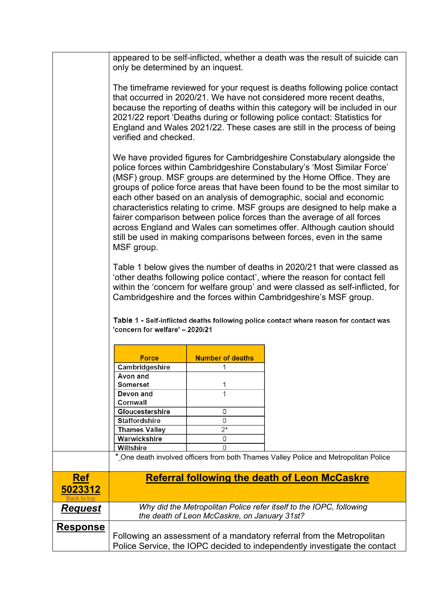<span id="page-2-0"></span>

|                       | appeared to be self-inflicted, whether a death was the result of suicide can<br>only be determined by an inquest.                                                                                                                                                                                                                                                                                                                                                                                                                                                                                                                                                                                    |                                              |                                                                                      |  |
|-----------------------|------------------------------------------------------------------------------------------------------------------------------------------------------------------------------------------------------------------------------------------------------------------------------------------------------------------------------------------------------------------------------------------------------------------------------------------------------------------------------------------------------------------------------------------------------------------------------------------------------------------------------------------------------------------------------------------------------|----------------------------------------------|--------------------------------------------------------------------------------------|--|
|                       | The timeframe reviewed for your request is deaths following police contact<br>that occurred in 2020/21. We have not considered more recent deaths,<br>because the reporting of deaths within this category will be included in our<br>2021/22 report 'Deaths during or following police contact: Statistics for<br>England and Wales 2021/22. These cases are still in the process of being<br>verified and checked.                                                                                                                                                                                                                                                                                 |                                              |                                                                                      |  |
|                       | We have provided figures for Cambridgeshire Constabulary alongside the<br>police forces within Cambridgeshire Constabulary's 'Most Similar Force'<br>(MSF) group. MSF groups are determined by the Home Office. They are<br>groups of police force areas that have been found to be the most similar to<br>each other based on an analysis of demographic, social and economic<br>characteristics relating to crime. MSF groups are designed to help make a<br>fairer comparison between police forces than the average of all forces<br>across England and Wales can sometimes offer. Although caution should<br>still be used in making comparisons between forces, even in the same<br>MSF group. |                                              |                                                                                      |  |
|                       | Table 1 below gives the number of deaths in 2020/21 that were classed as<br>'other deaths following police contact', where the reason for contact fell<br>within the 'concern for welfare group' and were classed as self-inflicted, for<br>Cambridgeshire and the forces within Cambridgeshire's MSF group.<br>Table 1 - Self-inflicted deaths following police contact where reason for contact was<br>'concern for welfare' - 2020/21                                                                                                                                                                                                                                                             |                                              |                                                                                      |  |
|                       |                                                                                                                                                                                                                                                                                                                                                                                                                                                                                                                                                                                                                                                                                                      |                                              |                                                                                      |  |
|                       | <b>Force</b>                                                                                                                                                                                                                                                                                                                                                                                                                                                                                                                                                                                                                                                                                         | <b>Number of deaths</b>                      |                                                                                      |  |
|                       | Cambridgeshire                                                                                                                                                                                                                                                                                                                                                                                                                                                                                                                                                                                                                                                                                       | 1                                            |                                                                                      |  |
|                       | Avon and                                                                                                                                                                                                                                                                                                                                                                                                                                                                                                                                                                                                                                                                                             |                                              |                                                                                      |  |
|                       | Somerset                                                                                                                                                                                                                                                                                                                                                                                                                                                                                                                                                                                                                                                                                             | 1                                            |                                                                                      |  |
|                       | Devon and                                                                                                                                                                                                                                                                                                                                                                                                                                                                                                                                                                                                                                                                                            | 1                                            |                                                                                      |  |
|                       | Cornwall                                                                                                                                                                                                                                                                                                                                                                                                                                                                                                                                                                                                                                                                                             |                                              |                                                                                      |  |
|                       | Gloucestershire<br><b>Staffordshire</b>                                                                                                                                                                                                                                                                                                                                                                                                                                                                                                                                                                                                                                                              | 0<br>0                                       |                                                                                      |  |
|                       | <b>Thames Valley</b>                                                                                                                                                                                                                                                                                                                                                                                                                                                                                                                                                                                                                                                                                 | $2^*$                                        |                                                                                      |  |
|                       | Warwickshire                                                                                                                                                                                                                                                                                                                                                                                                                                                                                                                                                                                                                                                                                         | 0                                            |                                                                                      |  |
|                       | Wiltshire                                                                                                                                                                                                                                                                                                                                                                                                                                                                                                                                                                                                                                                                                            | 0                                            |                                                                                      |  |
|                       |                                                                                                                                                                                                                                                                                                                                                                                                                                                                                                                                                                                                                                                                                                      |                                              | * One death involved officers from both Thames Valley Police and Metropolitan Police |  |
| <b>Ref</b><br>5023312 |                                                                                                                                                                                                                                                                                                                                                                                                                                                                                                                                                                                                                                                                                                      |                                              | <b>Referral following the death of Leon McCaskre</b>                                 |  |
| <u>Request</u>        |                                                                                                                                                                                                                                                                                                                                                                                                                                                                                                                                                                                                                                                                                                      | the death of Leon McCaskre, on January 31st? | Why did the Metropolitan Police refer itself to the IOPC, following                  |  |
| <b>Response</b>       |                                                                                                                                                                                                                                                                                                                                                                                                                                                                                                                                                                                                                                                                                                      |                                              |                                                                                      |  |
|                       |                                                                                                                                                                                                                                                                                                                                                                                                                                                                                                                                                                                                                                                                                                      |                                              | Following an assessment of a mandatory referral from the Metropolitan                |  |
|                       | Police Service, the IOPC decided to independently investigate the contact                                                                                                                                                                                                                                                                                                                                                                                                                                                                                                                                                                                                                            |                                              |                                                                                      |  |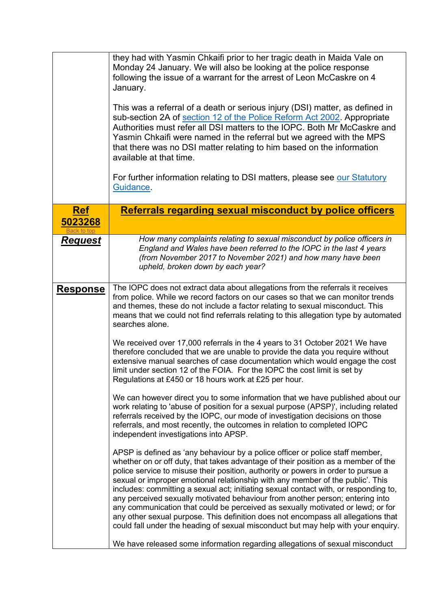<span id="page-3-0"></span>

|                 | they had with Yasmin Chkaifi prior to her tragic death in Maida Vale on<br>Monday 24 January. We will also be looking at the police response<br>following the issue of a warrant for the arrest of Leon McCaskre on 4<br>January.<br>This was a referral of a death or serious injury (DSI) matter, as defined in<br>sub-section 2A of section 12 of the Police Reform Act 2002. Appropriate<br>Authorities must refer all DSI matters to the IOPC. Both Mr McCaskre and<br>Yasmin Chkaifi were named in the referral but we agreed with the MPS<br>that there was no DSI matter relating to him based on the information<br>available at that time.<br>For further information relating to DSI matters, please see our Statutory<br>Guidance.                                  |
|-----------------|---------------------------------------------------------------------------------------------------------------------------------------------------------------------------------------------------------------------------------------------------------------------------------------------------------------------------------------------------------------------------------------------------------------------------------------------------------------------------------------------------------------------------------------------------------------------------------------------------------------------------------------------------------------------------------------------------------------------------------------------------------------------------------|
| <b>Ref</b>      | Referrals regarding sexual misconduct by police officers                                                                                                                                                                                                                                                                                                                                                                                                                                                                                                                                                                                                                                                                                                                        |
| 5023268         |                                                                                                                                                                                                                                                                                                                                                                                                                                                                                                                                                                                                                                                                                                                                                                                 |
| <b>Request</b>  | How many complaints relating to sexual misconduct by police officers in<br>England and Wales have been referred to the IOPC in the last 4 years<br>(from November 2017 to November 2021) and how many have been<br>upheld, broken down by each year?                                                                                                                                                                                                                                                                                                                                                                                                                                                                                                                            |
| <b>Response</b> | The IOPC does not extract data about allegations from the referrals it receives<br>from police. While we record factors on our cases so that we can monitor trends<br>and themes, these do not include a factor relating to sexual misconduct. This<br>means that we could not find referrals relating to this allegation type by automated<br>searches alone.                                                                                                                                                                                                                                                                                                                                                                                                                  |
|                 | We received over 17,000 referrals in the 4 years to 31 October 2021 We have<br>therefore concluded that we are unable to provide the data you require without<br>extensive manual searches of case documentation which would engage the cost<br>limit under section 12 of the FOIA. For the IOPC the cost limit is set by<br>Regulations at £450 or 18 hours work at £25 per hour.                                                                                                                                                                                                                                                                                                                                                                                              |
|                 | We can however direct you to some information that we have published about our<br>work relating to 'abuse of position for a sexual purpose (APSP)', including related<br>referrals received by the IOPC, our mode of investigation decisions on those<br>referrals, and most recently, the outcomes in relation to completed IOPC<br>independent investigations into APSP.                                                                                                                                                                                                                                                                                                                                                                                                      |
|                 | APSP is defined as 'any behaviour by a police officer or police staff member,<br>whether on or off duty, that takes advantage of their position as a member of the<br>police service to misuse their position, authority or powers in order to pursue a<br>sexual or improper emotional relationship with any member of the public'. This<br>includes: committing a sexual act; initiating sexual contact with, or responding to,<br>any perceived sexually motivated behaviour from another person; entering into<br>any communication that could be perceived as sexually motivated or lewd; or for<br>any other sexual purpose. This definition does not encompass all allegations that<br>could fall under the heading of sexual misconduct but may help with your enquiry. |
|                 | We have released some information regarding allegations of sexual misconduct                                                                                                                                                                                                                                                                                                                                                                                                                                                                                                                                                                                                                                                                                                    |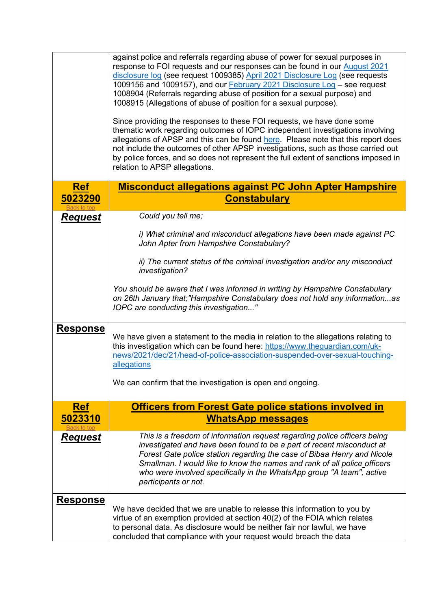<span id="page-4-1"></span><span id="page-4-0"></span>

|                 | against police and referrals regarding abuse of power for sexual purposes in<br>response to FOI requests and our responses can be found in our August 2021<br>disclosure log (see request 1009385) April 2021 Disclosure Log (see requests<br>1009156 and 1009157), and our <b>February 2021</b> Disclosure Log – see request<br>1008904 (Referrals regarding abuse of position for a sexual purpose) and<br>1008915 (Allegations of abuse of position for a sexual purpose).<br>Since providing the responses to these FOI requests, we have done some<br>thematic work regarding outcomes of IOPC independent investigations involving<br>allegations of APSP and this can be found here. Please note that this report does<br>not include the outcomes of other APSP investigations, such as those carried out<br>by police forces, and so does not represent the full extent of sanctions imposed in<br>relation to APSP allegations. |
|-----------------|-------------------------------------------------------------------------------------------------------------------------------------------------------------------------------------------------------------------------------------------------------------------------------------------------------------------------------------------------------------------------------------------------------------------------------------------------------------------------------------------------------------------------------------------------------------------------------------------------------------------------------------------------------------------------------------------------------------------------------------------------------------------------------------------------------------------------------------------------------------------------------------------------------------------------------------------|
| <b>Ref</b>      | <b>Misconduct allegations against PC John Apter Hampshire</b>                                                                                                                                                                                                                                                                                                                                                                                                                                                                                                                                                                                                                                                                                                                                                                                                                                                                             |
| 5023290         | <b>Constabulary</b>                                                                                                                                                                                                                                                                                                                                                                                                                                                                                                                                                                                                                                                                                                                                                                                                                                                                                                                       |
| <b>Request</b>  | Could you tell me;                                                                                                                                                                                                                                                                                                                                                                                                                                                                                                                                                                                                                                                                                                                                                                                                                                                                                                                        |
|                 | i) What criminal and misconduct allegations have been made against PC<br>John Apter from Hampshire Constabulary?                                                                                                                                                                                                                                                                                                                                                                                                                                                                                                                                                                                                                                                                                                                                                                                                                          |
|                 | ii) The current status of the criminal investigation and/or any misconduct<br>investigation?                                                                                                                                                                                                                                                                                                                                                                                                                                                                                                                                                                                                                                                                                                                                                                                                                                              |
|                 | You should be aware that I was informed in writing by Hampshire Constabulary<br>on 26th January that; "Hampshire Constabulary does not hold any informationas<br>IOPC are conducting this investigation"                                                                                                                                                                                                                                                                                                                                                                                                                                                                                                                                                                                                                                                                                                                                  |
| <b>Response</b> | We have given a statement to the media in relation to the allegations relating to<br>this investigation which can be found here: https://www.theguardian.com/uk-<br>news/2021/dec/21/head-of-police-association-suspended-over-sexual-touching-<br>allegations<br>We can confirm that the investigation is open and ongoing.                                                                                                                                                                                                                                                                                                                                                                                                                                                                                                                                                                                                              |
|                 |                                                                                                                                                                                                                                                                                                                                                                                                                                                                                                                                                                                                                                                                                                                                                                                                                                                                                                                                           |
| <b>Ref</b>      | <b>Officers from Forest Gate police stations involved in</b>                                                                                                                                                                                                                                                                                                                                                                                                                                                                                                                                                                                                                                                                                                                                                                                                                                                                              |
| 5023310         | <b>WhatsApp messages</b>                                                                                                                                                                                                                                                                                                                                                                                                                                                                                                                                                                                                                                                                                                                                                                                                                                                                                                                  |
| <u>Request</u>  | This is a freedom of information request regarding police officers being<br>investigated and have been found to be a part of recent misconduct at<br>Forest Gate police station regarding the case of Bibaa Henry and Nicole<br>Smallman. I would like to know the names and rank of all police officers<br>who were involved specifically in the WhatsApp group "A team", active<br>participants or not.                                                                                                                                                                                                                                                                                                                                                                                                                                                                                                                                 |
| <u>Response</u> | We have decided that we are unable to release this information to you by<br>virtue of an exemption provided at section 40(2) of the FOIA which relates<br>to personal data. As disclosure would be neither fair nor lawful, we have<br>concluded that compliance with your request would breach the data                                                                                                                                                                                                                                                                                                                                                                                                                                                                                                                                                                                                                                  |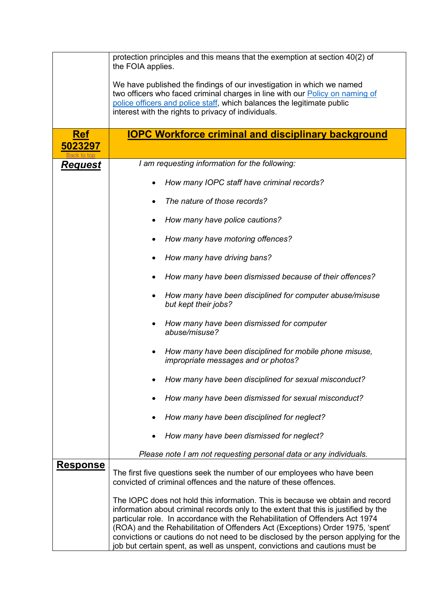<span id="page-5-0"></span>

|                 | protection principles and this means that the exemption at section 40(2) of<br>the FOIA applies.                                                                                                                                                                                                                                                                                                                                                                                                            |  |  |
|-----------------|-------------------------------------------------------------------------------------------------------------------------------------------------------------------------------------------------------------------------------------------------------------------------------------------------------------------------------------------------------------------------------------------------------------------------------------------------------------------------------------------------------------|--|--|
|                 | We have published the findings of our investigation in which we named<br>two officers who faced criminal charges in line with our <b>Policy on naming of</b><br>police officers and police staff, which balances the legitimate public<br>interest with the rights to privacy of individuals.                                                                                                                                                                                                               |  |  |
| <b>Ref</b>      | <b>IOPC Workforce criminal and disciplinary background</b>                                                                                                                                                                                                                                                                                                                                                                                                                                                  |  |  |
| 5023297         |                                                                                                                                                                                                                                                                                                                                                                                                                                                                                                             |  |  |
| <u>Request</u>  | I am requesting information for the following:                                                                                                                                                                                                                                                                                                                                                                                                                                                              |  |  |
|                 | How many IOPC staff have criminal records?<br>٠                                                                                                                                                                                                                                                                                                                                                                                                                                                             |  |  |
|                 | The nature of those records?                                                                                                                                                                                                                                                                                                                                                                                                                                                                                |  |  |
|                 | How many have police cautions?<br>٠                                                                                                                                                                                                                                                                                                                                                                                                                                                                         |  |  |
|                 | How many have motoring offences?                                                                                                                                                                                                                                                                                                                                                                                                                                                                            |  |  |
|                 | How many have driving bans?                                                                                                                                                                                                                                                                                                                                                                                                                                                                                 |  |  |
|                 | How many have been dismissed because of their offences?<br>٠                                                                                                                                                                                                                                                                                                                                                                                                                                                |  |  |
|                 | How many have been disciplined for computer abuse/misuse<br>but kept their jobs?                                                                                                                                                                                                                                                                                                                                                                                                                            |  |  |
|                 | How many have been dismissed for computer<br>٠<br>abuse/misuse?                                                                                                                                                                                                                                                                                                                                                                                                                                             |  |  |
|                 | How many have been disciplined for mobile phone misuse,<br>$\bullet$<br>impropriate messages and or photos?                                                                                                                                                                                                                                                                                                                                                                                                 |  |  |
|                 | How many have been disciplined for sexual misconduct?                                                                                                                                                                                                                                                                                                                                                                                                                                                       |  |  |
|                 | How many have been dismissed for sexual misconduct?                                                                                                                                                                                                                                                                                                                                                                                                                                                         |  |  |
|                 | How many have been disciplined for neglect?                                                                                                                                                                                                                                                                                                                                                                                                                                                                 |  |  |
|                 | How many have been dismissed for neglect?<br>٠                                                                                                                                                                                                                                                                                                                                                                                                                                                              |  |  |
|                 | Please note I am not requesting personal data or any individuals.                                                                                                                                                                                                                                                                                                                                                                                                                                           |  |  |
| <u>Response</u> | The first five questions seek the number of our employees who have been<br>convicted of criminal offences and the nature of these offences.                                                                                                                                                                                                                                                                                                                                                                 |  |  |
|                 | The IOPC does not hold this information. This is because we obtain and record<br>information about criminal records only to the extent that this is justified by the<br>particular role. In accordance with the Rehabilitation of Offenders Act 1974<br>(ROA) and the Rehabilitation of Offenders Act (Exceptions) Order 1975, 'spent'<br>convictions or cautions do not need to be disclosed by the person applying for the<br>job but certain spent, as well as unspent, convictions and cautions must be |  |  |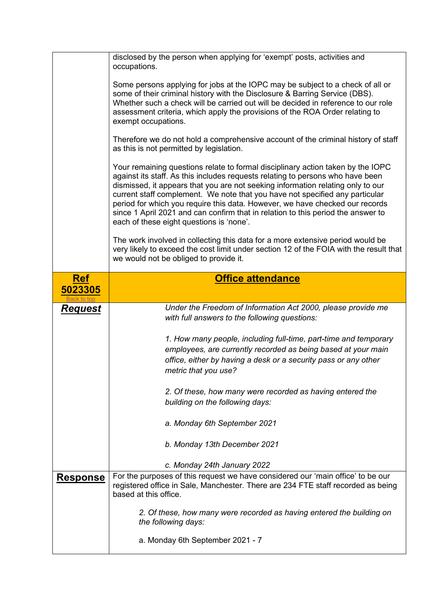<span id="page-6-0"></span>

|                 | disclosed by the person when applying for 'exempt' posts, activities and<br>occupations.                                                                                                                                                                                                                                                                                                                                                                                                                                                             |  |  |
|-----------------|------------------------------------------------------------------------------------------------------------------------------------------------------------------------------------------------------------------------------------------------------------------------------------------------------------------------------------------------------------------------------------------------------------------------------------------------------------------------------------------------------------------------------------------------------|--|--|
|                 | Some persons applying for jobs at the IOPC may be subject to a check of all or<br>some of their criminal history with the Disclosure & Barring Service (DBS).<br>Whether such a check will be carried out will be decided in reference to our role<br>assessment criteria, which apply the provisions of the ROA Order relating to<br>exempt occupations.                                                                                                                                                                                            |  |  |
|                 | Therefore we do not hold a comprehensive account of the criminal history of staff<br>as this is not permitted by legislation.                                                                                                                                                                                                                                                                                                                                                                                                                        |  |  |
|                 | Your remaining questions relate to formal disciplinary action taken by the IOPC<br>against its staff. As this includes requests relating to persons who have been<br>dismissed, it appears that you are not seeking information relating only to our<br>current staff complement. We note that you have not specified any particular<br>period for which you require this data. However, we have checked our records<br>since 1 April 2021 and can confirm that in relation to this period the answer to<br>each of these eight questions is 'none'. |  |  |
|                 | The work involved in collecting this data for a more extensive period would be<br>very likely to exceed the cost limit under section 12 of the FOIA with the result that<br>we would not be obliged to provide it.                                                                                                                                                                                                                                                                                                                                   |  |  |
| <b>Ref</b>      | <b>Office attendance</b>                                                                                                                                                                                                                                                                                                                                                                                                                                                                                                                             |  |  |
| 5023305         |                                                                                                                                                                                                                                                                                                                                                                                                                                                                                                                                                      |  |  |
| <b>Request</b>  | Under the Freedom of Information Act 2000, please provide me                                                                                                                                                                                                                                                                                                                                                                                                                                                                                         |  |  |
|                 | with full answers to the following questions:                                                                                                                                                                                                                                                                                                                                                                                                                                                                                                        |  |  |
|                 |                                                                                                                                                                                                                                                                                                                                                                                                                                                                                                                                                      |  |  |
|                 | 1. How many people, including full-time, part-time and temporary<br>employees, are currently recorded as being based at your main                                                                                                                                                                                                                                                                                                                                                                                                                    |  |  |
|                 | office, either by having a desk or a security pass or any other                                                                                                                                                                                                                                                                                                                                                                                                                                                                                      |  |  |
|                 | metric that you use?                                                                                                                                                                                                                                                                                                                                                                                                                                                                                                                                 |  |  |
|                 |                                                                                                                                                                                                                                                                                                                                                                                                                                                                                                                                                      |  |  |
|                 | 2. Of these, how many were recorded as having entered the                                                                                                                                                                                                                                                                                                                                                                                                                                                                                            |  |  |
|                 | building on the following days:                                                                                                                                                                                                                                                                                                                                                                                                                                                                                                                      |  |  |
|                 | a. Monday 6th September 2021                                                                                                                                                                                                                                                                                                                                                                                                                                                                                                                         |  |  |
|                 | b. Monday 13th December 2021                                                                                                                                                                                                                                                                                                                                                                                                                                                                                                                         |  |  |
|                 | c. Monday 24th January 2022                                                                                                                                                                                                                                                                                                                                                                                                                                                                                                                          |  |  |
| <b>Response</b> | For the purposes of this request we have considered our 'main office' to be our<br>registered office in Sale, Manchester. There are 234 FTE staff recorded as being<br>based at this office.                                                                                                                                                                                                                                                                                                                                                         |  |  |
|                 |                                                                                                                                                                                                                                                                                                                                                                                                                                                                                                                                                      |  |  |
|                 | 2. Of these, how many were recorded as having entered the building on<br>the following days:                                                                                                                                                                                                                                                                                                                                                                                                                                                         |  |  |